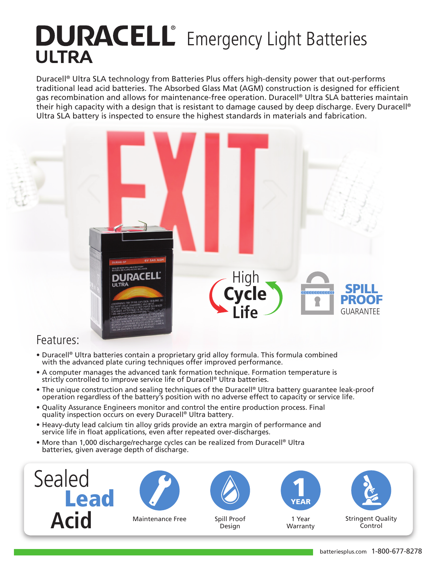# **DURACELL**<sup>®</sup> Emergency Light Batteries **ULTRA**

Duracell® Ultra SLA technology from Batteries Plus offers high-density power that out-performs traditional lead acid batteries. The Absorbed Glass Mat (AGM) construction is designed for efficient gas recombination and allows for maintenance-free operation. Duracell® Ultra SLA batteries maintain their high capacity with a design that is resistant to damage caused by deep discharge. Every Duracell® Ultra SLA battery is inspected to ensure the highest standards in materials and fabrication.



#### Features:

- Duracell® Ultra batteries contain a proprietary grid alloy formula. This formula combined with the advanced plate curing techniques offer improved performance.
- A computer manages the advanced tank formation technique. Formation temperature is strictly controlled to improve service life of Duracell® Ultra batteries.
- The unique construction and sealing techniques of the Duracell® Ultra battery guarantee leak-proof operation regardless of the battery's position with no adverse effect to capacity or service life.
- Quality Assurance Engineers monitor and control the entire production process. Final quality inspection occurs on every Duracell® Ultra battery.
- Heavy-duty lead calcium tin alloy grids provide an extra margin of performance and service life in float applications, even after repeated over-discharges.
- More than 1,000 discharge/recharge cycles can be realized from Duracell® Ultra batteries, given average depth of discharge.





Maintenance Free Spill Proof



Design



1 Year Warranty